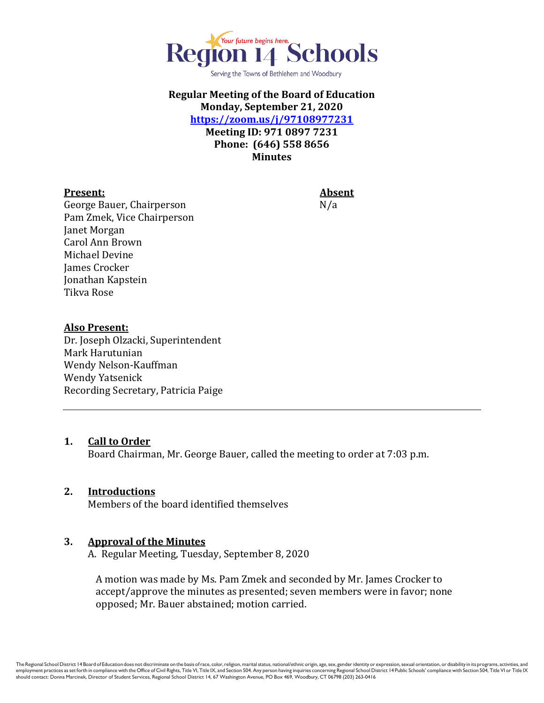

Serving the Towns of Bethlehem and Woodbury

# **Regular Meeting of the Board of Education Monday, September 21, 2020 <https://zoom.us/j/97108977231>**

**Meeting ID: 971 0897 7231 Phone: (646) 558 8656 Minutes**

#### **Present: Absent**

George Bauer, Chairperson N/a Pam Zmek, Vice Chairperson Janet Morgan Carol Ann Brown Michael Devine James Crocker Jonathan Kapstein Tikva Rose

#### **Also Present:**

Dr. Joseph Olzacki, Superintendent Mark Harutunian Wendy Nelson-Kauffman Wendy Yatsenick Recording Secretary, Patricia Paige

#### **1. Call to Order**

Board Chairman, Mr. George Bauer, called the meeting to order at 7:03 p.m.

#### **2. Introductions**

Members of the board identified themselves

#### **3. Approval of the Minutes**

A. Regular Meeting, Tuesday, September 8, 2020

A motion was made by Ms. Pam Zmek and seconded by Mr. James Crocker to accept/approve the minutes as presented; seven members were in favor; none opposed; Mr. Bauer abstained; motion carried.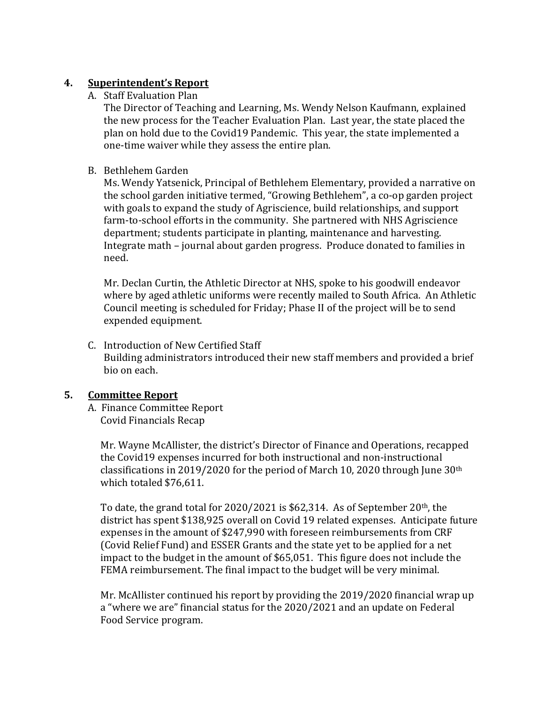### **4. Superintendent's Report**

A. Staff Evaluation Plan

The Director of Teaching and Learning, Ms. Wendy Nelson Kaufmann, explained the new process for the Teacher Evaluation Plan. Last year, the state placed the plan on hold due to the Covid19 Pandemic. This year, the state implemented a one-time waiver while they assess the entire plan.

B. Bethlehem Garden

Ms. Wendy Yatsenick, Principal of Bethlehem Elementary, provided a narrative on the school garden initiative termed, "Growing Bethlehem", a co-op garden project with goals to expand the study of Agriscience, build relationships, and support farm-to-school efforts in the community. She partnered with NHS Agriscience department; students participate in planting, maintenance and harvesting. Integrate math – journal about garden progress. Produce donated to families in need.

Mr. Declan Curtin, the Athletic Director at NHS, spoke to his goodwill endeavor where by aged athletic uniforms were recently mailed to South Africa. An Athletic Council meeting is scheduled for Friday; Phase II of the project will be to send expended equipment.

C. Introduction of New Certified Staff Building administrators introduced their new staff members and provided a brief bio on each.

## **5. Committee Report**

A. Finance Committee Report Covid Financials Recap

 Mr. Wayne McAllister, the district's Director of Finance and Operations, recapped the Covid19 expenses incurred for both instructional and non-instructional classifications in 2019/2020 for the period of March 10, 2020 through June 30th which totaled \$76,611.

 To date, the grand total for 2020/2021 is \$62,314. As of September 20th, the district has spent \$138,925 overall on Covid 19 related expenses. Anticipate future expenses in the amount of \$247,990 with foreseen reimbursements from CRF (Covid Relief Fund) and ESSER Grants and the state yet to be applied for a net impact to the budget in the amount of \$65,051. This figure does not include the FEMA reimbursement. The final impact to the budget will be very minimal.

 Mr. McAllister continued his report by providing the 2019/2020 financial wrap up a "where we are" financial status for the 2020/2021 and an update on Federal Food Service program.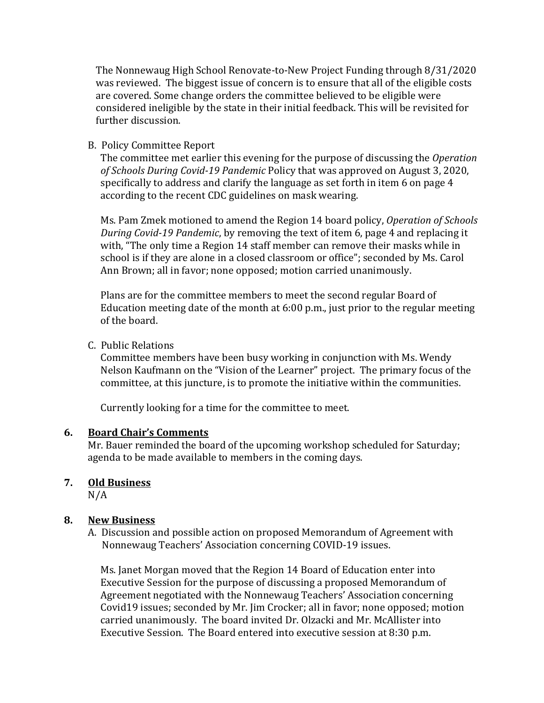The Nonnewaug High School Renovate-to-New Project Funding through 8/31/2020 was reviewed. The biggest issue of concern is to ensure that all of the eligible costs are covered. Some change orders the committee believed to be eligible were considered ineligible by the state in their initial feedback. This will be revisited for further discussion.

### B. Policy Committee Report

 The committee met earlier this evening for the purpose of discussing the *Operation of Schools During Covid-19 Pandemic* Policy that was approved on August 3, 2020, specifically to address and clarify the language as set forth in item 6 on page 4 according to the recent CDC guidelines on mask wearing.

 Ms. Pam Zmek motioned to amend the Region 14 board policy, *Operation of Schools During Covid-19 Pandemic*, by removing the text of item 6, page 4 and replacing it with, "The only time a Region 14 staff member can remove their masks while in school is if they are alone in a closed classroom or office"; seconded by Ms. Carol Ann Brown; all in favor; none opposed; motion carried unanimously.

 Plans are for the committee members to meet the second regular Board of Education meeting date of the month at 6:00 p.m., just prior to the regular meeting of the board.

### C. Public Relations

 Committee members have been busy working in conjunction with Ms. Wendy Nelson Kaufmann on the "Vision of the Learner" project. The primary focus of the committee, at this juncture, is to promote the initiative within the communities.

Currently looking for a time for the committee to meet.

### **6. Board Chair's Comments**

Mr. Bauer reminded the board of the upcoming workshop scheduled for Saturday; agenda to be made available to members in the coming days.

## **7. Old Business**

 $N/A$ 

## **8. New Business**

A. Discussion and possible action on proposed Memorandum of Agreement with Nonnewaug Teachers' Association concerning COVID-19 issues.

 Ms. Janet Morgan moved that the Region 14 Board of Education enter into Executive Session for the purpose of discussing a proposed Memorandum of Agreement negotiated with the Nonnewaug Teachers' Association concerning Covid19 issues; seconded by Mr. Jim Crocker; all in favor; none opposed; motion carried unanimously. The board invited Dr. Olzacki and Mr. McAllister into Executive Session. The Board entered into executive session at 8:30 p.m.